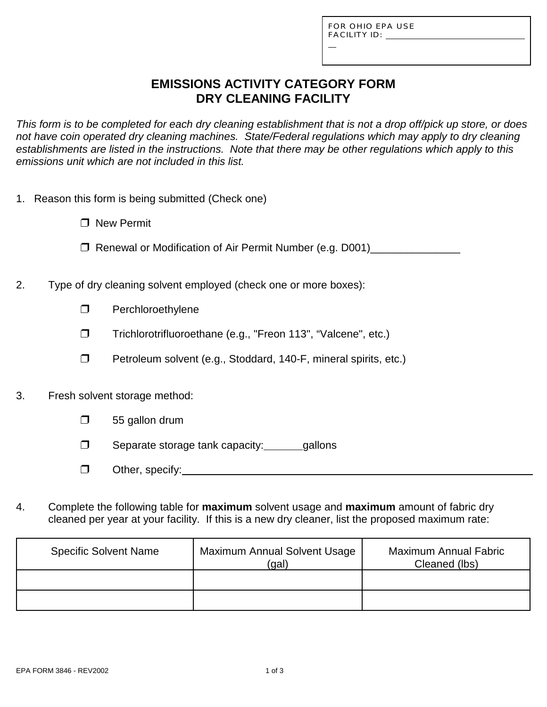L

# **EMISSIONS ACTIVITY CATEGORY FORM DRY CLEANING FACILITY**

*This form is to be completed for each dry cleaning establishment that is not a drop off/pick up store, or does not have coin operated dry cleaning machines. State/Federal regulations which may apply to dry cleaning establishments are listed in the instructions. Note that there may be other regulations which apply to this emissions unit which are not included in this list.*

- 1. Reason this form is being submitted (Check one)
	- $\Box$  New Permit
	- □ Renewal or Modification of Air Permit Number (e.g. D001)\_\_\_\_\_\_\_\_\_\_\_\_\_\_\_\_\_\_\_\_\_
- 2. Type of dry cleaning solvent employed (check one or more boxes):
	- $\Box$  Perchloroethylene
	- Trichlorotrifluoroethane (e.g., "Freon 113", "Valcene", etc.)
	- $\Box$  Petroleum solvent (e.g., Stoddard, 140-F, mineral spirits, etc.)
- 3. Fresh solvent storage method:
	- $\Box$  55 gallon drum
	- $\Box$  Separate storage tank capacity: \_\_\_\_\_\_gallons
	- $\Box$  Other, specify: Notice of the second second second second second second second second second second second second second second second second second second second second second second second second second second secon
- 4. Complete the following table for **maximum** solvent usage and **maximum** amount of fabric dry cleaned per year at your facility. If this is a new dry cleaner, list the proposed maximum rate:

| <b>Specific Solvent Name</b> | <b>Maximum Annual Solvent Usage</b><br>(gal) | <b>Maximum Annual Fabric</b><br>Cleaned (lbs) |
|------------------------------|----------------------------------------------|-----------------------------------------------|
|                              |                                              |                                               |
|                              |                                              |                                               |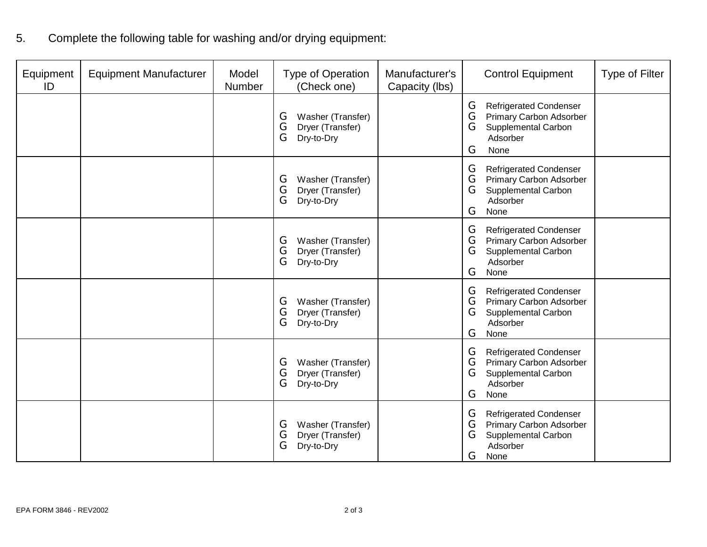5. Complete the following table for washing and/or drying equipment:

| Equipment<br>ID | <b>Equipment Manufacturer</b> | Model<br><b>Number</b> | <b>Type of Operation</b><br>(Check one)                            | Manufacturer's<br>Capacity (lbs) | <b>Control Equipment</b>                                                                                                       | <b>Type of Filter</b> |
|-----------------|-------------------------------|------------------------|--------------------------------------------------------------------|----------------------------------|--------------------------------------------------------------------------------------------------------------------------------|-----------------------|
|                 |                               |                        | Washer (Transfer)<br>G<br>G<br>Dryer (Transfer)<br>G<br>Dry-to-Dry |                                  | G<br><b>Refrigerated Condenser</b><br>G<br>Primary Carbon Adsorber<br>G<br>Supplemental Carbon<br>Adsorber<br>G<br>None        |                       |
|                 |                               |                        | Washer (Transfer)<br>G<br>G<br>Dryer (Transfer)<br>G<br>Dry-to-Dry |                                  | G<br><b>Refrigerated Condenser</b><br>G<br><b>Primary Carbon Adsorber</b><br>G<br>Supplemental Carbon<br>Adsorber<br>G<br>None |                       |
|                 |                               |                        | Washer (Transfer)<br>G<br>G<br>Dryer (Transfer)<br>G<br>Dry-to-Dry |                                  | <b>Refrigerated Condenser</b><br>G<br>G<br>Primary Carbon Adsorber<br>G<br>Supplemental Carbon<br>Adsorber<br>G<br>None        |                       |
|                 |                               |                        | Washer (Transfer)<br>G<br>G<br>Dryer (Transfer)<br>G<br>Dry-to-Dry |                                  | G<br><b>Refrigerated Condenser</b><br>G<br><b>Primary Carbon Adsorber</b><br>G<br>Supplemental Carbon<br>Adsorber<br>G<br>None |                       |
|                 |                               |                        | Washer (Transfer)<br>G<br>G<br>Dryer (Transfer)<br>G<br>Dry-to-Dry |                                  | <b>Refrigerated Condenser</b><br>G<br>G<br><b>Primary Carbon Adsorber</b><br>G<br>Supplemental Carbon<br>Adsorber<br>G<br>None |                       |
|                 |                               |                        | Washer (Transfer)<br>G<br>G<br>Dryer (Transfer)<br>G<br>Dry-to-Dry |                                  | <b>Refrigerated Condenser</b><br>G<br>G<br>Primary Carbon Adsorber<br>G<br>Supplemental Carbon<br>Adsorber<br>G<br>None        |                       |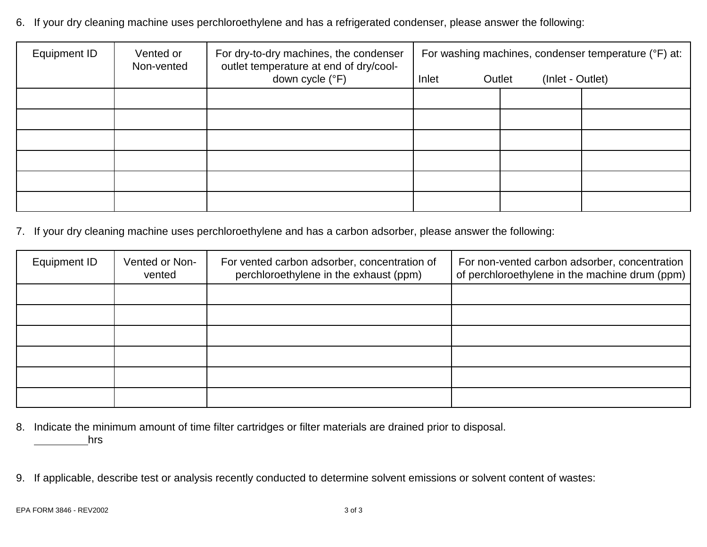6. If your dry cleaning machine uses perchloroethylene and has a refrigerated condenser, please answer the following:

| Equipment ID | Vented or<br>Non-vented | For dry-to-dry machines, the condenser<br>outlet temperature at end of dry/cool- | For washing machines, condenser temperature (°F) at: |                            |  |
|--------------|-------------------------|----------------------------------------------------------------------------------|------------------------------------------------------|----------------------------|--|
|              |                         | down cycle (°F)                                                                  | Inlet                                                | (Inlet - Outlet)<br>Outlet |  |
|              |                         |                                                                                  |                                                      |                            |  |
|              |                         |                                                                                  |                                                      |                            |  |
|              |                         |                                                                                  |                                                      |                            |  |
|              |                         |                                                                                  |                                                      |                            |  |
|              |                         |                                                                                  |                                                      |                            |  |
|              |                         |                                                                                  |                                                      |                            |  |

7. If your dry cleaning machine uses perchloroethylene and has a carbon adsorber, please answer the following:

| Equipment ID | Vented or Non-<br>vented | For vented carbon adsorber, concentration of<br>perchloroethylene in the exhaust (ppm) | For non-vented carbon adsorber, concentration<br>of perchloroethylene in the machine drum (ppm) |
|--------------|--------------------------|----------------------------------------------------------------------------------------|-------------------------------------------------------------------------------------------------|
|              |                          |                                                                                        |                                                                                                 |
|              |                          |                                                                                        |                                                                                                 |
|              |                          |                                                                                        |                                                                                                 |
|              |                          |                                                                                        |                                                                                                 |
|              |                          |                                                                                        |                                                                                                 |
|              |                          |                                                                                        |                                                                                                 |

- 8. Indicate the minimum amount of time filter cartridges or filter materials are drained prior to disposal. hrs
- 9. If applicable, describe test or analysis recently conducted to determine solvent emissions or solvent content of wastes: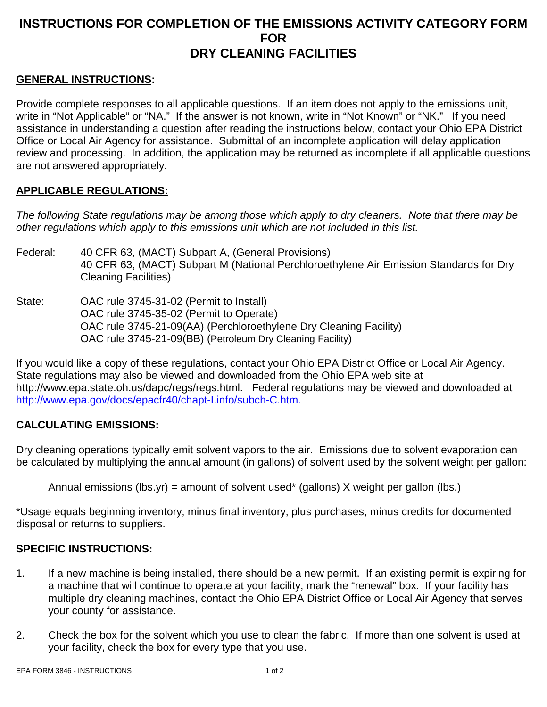## **INSTRUCTIONS FOR COMPLETION OF THE EMISSIONS ACTIVITY CATEGORY FORM FOR DRY CLEANING FACILITIES**

## **GENERAL INSTRUCTIONS:**

Provide complete responses to all applicable questions. If an item does not apply to the emissions unit, write in "Not Applicable" or "NA." If the answer is not known, write in "Not Known" or "NK." If you need assistance in understanding a question after reading the instructions below, contact your Ohio EPA District Office or Local Air Agency for assistance. Submittal of an incomplete application will delay application review and processing. In addition, the application may be returned as incomplete if all applicable questions are not answered appropriately.

#### **APPLICABLE REGULATIONS:**

*The following State regulations may be among those which apply to dry cleaners. Note that there may be other regulations which apply to this emissions unit which are not included in this list.*

- Federal: 40 CFR 63, (MACT) Subpart A, (General Provisions) 40 CFR 63, (MACT) Subpart M (National Perchloroethylene Air Emission Standards for Dry Cleaning Facilities)
- State: OAC rule 3745-31-02 (Permit to Install) OAC rule 3745-35-02 (Permit to Operate) OAC rule 3745-21-09(AA) (Perchloroethylene Dry Cleaning Facility) OAC rule 3745-21-09(BB) (Petroleum Dry Cleaning Facility)

If you would like a copy of these regulations, contact your Ohio EPA District Office or Local Air Agency. State regulations may also be viewed and downloaded from the Ohio EPA web site at http://www.epa.state.oh.us/dapc/regs/regs.html. Federal regulations may be viewed and downloaded at http://www.epa.gov/docs/epacfr40/chapt-I.info/subch-C.htm.

## **CALCULATING EMISSIONS:**

Dry cleaning operations typically emit solvent vapors to the air. Emissions due to solvent evaporation can be calculated by multiplying the annual amount (in gallons) of solvent used by the solvent weight per gallon:

Annual emissions (lbs.yr) = amount of solvent used\* (gallons) X weight per gallon (lbs.)

\*Usage equals beginning inventory, minus final inventory, plus purchases, minus credits for documented disposal or returns to suppliers.

## **SPECIFIC INSTRUCTIONS:**

- 1. If a new machine is being installed, there should be a new permit. If an existing permit is expiring for a machine that will continue to operate at your facility, mark the "renewal" box. If your facility has multiple dry cleaning machines, contact the Ohio EPA District Office or Local Air Agency that serves your county for assistance.
- 2. Check the box for the solvent which you use to clean the fabric. If more than one solvent is used at your facility, check the box for every type that you use.